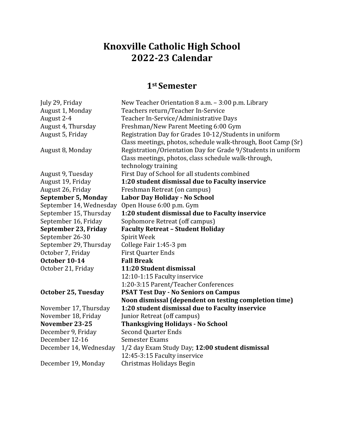## **Knoxville Catholic High School 2022-23 Calendar**

## **1st Semester**

July 29, Friday New Teacher Orientation 8 a.m. – 3:00 p.m. Library<br>August 1, Monday Teachers return/Teacher In-Service August 1, Monday Feachers return/Teacher In-Service<br>August 2-4 Teacher In-Service/Administrative L August 2-4 Teacher In-Service/Administrative Days<br>August 4, Thursday Freshman/New Parent Meeting 6:00 Gyn August 4, Thursday Freshman/New Parent Meeting 6:00 Gym<br>August 5, Friday Registration Day for Grades 10-12/Studen Registration Day for Grades 10-12/Students in uniform Class meetings, photos, schedule walk-through, Boot Camp (Sr) August 8, Monday Registration/Orientation Day for Grade 9/Students in uniform Class meetings, photos, class schedule walk-through, technology training August 9, Tuesday First Day of School for all students combined<br>August 19, Friday **1:20 student dismissal due to Faculty inse** August 19, Friday **1:20 student dismissal due to Faculty inservice** August 26, Friday Freshman Retreat (on campus)<br> **September 5, Monday** Labor Day Holiday - No Schoo **Labor Day Holiday - No School** September 14, Wednesday Open House 6:00 p.m. Gym<br>September 15, Thursday 1:20 student dismissal du September 15, Thursday **1:20 student dismissal due to Faculty inservice** September 16, Friday Sophomore Retreat (off campus)<br> **September 23, Friday Faculty Retreat - Student Holic September 23, Friday Faculty Retreat – Student Holiday** September 26-30<br>September 29. Thursday College Fair 1:45-3 pm September 29, Thursday<br>October 7. Friday First Quarter Ends<br>Fall Break **October 10-14** October 21, Friday **11:20 Student dismissal** 12:10-1:15 Faculty inservice 1:20-3:15 Parent/Teacher Conferences **October 25, Tuesday PSAT Test Day - No Seniors on Campus Noon dismissal (dependent on testing completion time)** November 17, Thursday **1:20 student dismissal due to Faculty inservice** November 18, Friday Junior Retreat (off campus)<br> **November 23-25** Thanksgiving Holidays - N **Thanksgiving Holidays - No School** December 9, Friday Second Quarter Ends<br>December 12-16 Semester Exams December 12-16<br>December 14, Wednesday 1/2 day Exam Study Day; 12:00 student dismissal 12:45-3:15 Faculty inservice December 19, Monday Christmas Holidays Begin